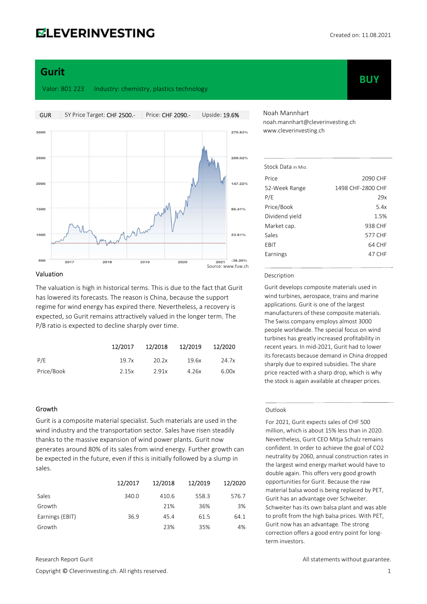# **ELEVERINVESTING**

**BUY** 

# Gurit

Valor: 801 223 Industry: chemistry, plastics technology



#### Valuation

The valuation is high in historical terms. This is due to the fact that Gurit has lowered its forecasts. The reason is China, because the support regime for wind energy has expired there. Nevertheless, a recovery is expected, so Gurit remains attractively valued in the longer term. The P/B ratio is expected to decline sharply over time.

|            | 12/2017 | 12/2018 | 12/2019 | 12/2020 |
|------------|---------|---------|---------|---------|
| P/E        | 19.7x   | 20.2x   | 19.6x   | 24.7x   |
| Price/Book | 2.15x   | 2.91x   | 4.26x   | 6.00x   |

#### Growth

Gurit is a composite material specialist. Such materials are used in the wind industry and the transportation sector. Sales have risen steadily thanks to the massive expansion of wind power plants. Gurit now generates around 80% of its sales from wind energy. Further growth can be expected in the future, even if this is initially followed by a slump in sales.

|                 | 12/2017 | 12/2018 | 12/2019 | 12/2020 |
|-----------------|---------|---------|---------|---------|
| Sales           | 340.0   | 410.6   | 558.3   | 576.7   |
| Growth          |         | 21%     | 36%     | 3%      |
| Earnings (EBIT) | 36.9    | 45.4    | 61.5    | 64.1    |
| Growth          |         | 23%     | 35%     | 4%      |

Noah Mannhart noah.mannhart@cleverinvesting.ch www.cleverinvesting.ch

| Stock Data in Mio. |                   |
|--------------------|-------------------|
| Price              | 2090 CHF          |
| 52-Week Range      | 1498 CHF-2800 CHF |
| P/E                | 29x               |
| Price/Book         | 5.4x              |
| Dividend yield     | 1.5%              |
| Market cap.        | 938 CHF           |
| Sales              | 577 CHF           |
| EBIT               | 64 CHF            |
| Earnings           | 47 CHF            |
|                    |                   |

#### Description

Gurit develops composite materials used in wind turbines, aerospace, trains and marine applications. Gurit is one of the largest manufacturers of these composite materials. The Swiss company employs almost 3000 people worldwide. The special focus on wind turbines has greatly increased profitability in recent years. In mid-2021, Gurit had to lower its forecasts because demand in China dropped sharply due to expired subsidies. The share price reacted with a sharp drop, which is why the stock is again available at cheaper prices.

#### **Outlook**

For 2021, Gurit expects sales of CHF 500 million, which is about 15% less than in 2020. Nevertheless, Gurit CEO Mitja Schulz remains confident. In order to achieve the goal of CO2 neutrality by 2060, annual construction rates in the largest wind energy market would have to double again. This offers very good growth opportunities for Gurit. Because the raw material balsa wood is being replaced by PET, Gurit has an advantage over Schweiter. Schweiter has its own balsa plant and was able to profit from the high balsa prices. With PET, Gurit now has an advantage. The strong correction offers a good entry point for longterm investors.

Copyright © Cleverinvesting.ch. All rights reserved. 1

Research Report Gurit All statements without guarantee.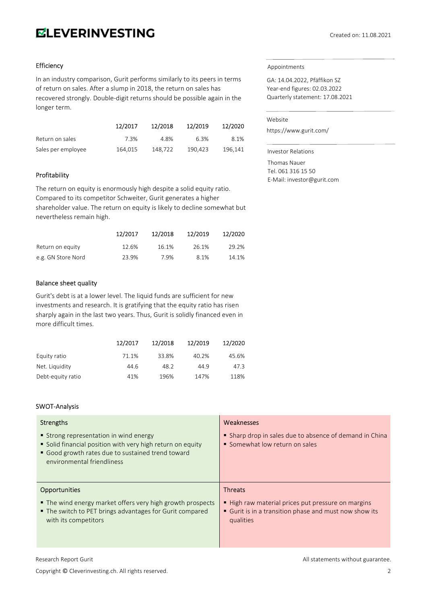# **ELEVERINVESTING**

## Efficiency

In an industry comparison, Gurit performs similarly to its peers in terms of return on sales. After a slump in 2018, the return on sales has recovered strongly. Double-digit returns should be possible again in the longer term.

|                    | 12/2017 | 12/2018 | 12/2019 | 12/2020 |
|--------------------|---------|---------|---------|---------|
| Return on sales    | 7.3%    | 4.8%    | 6.3%    | 8.1%    |
| Sales per employee | 164,015 | 148.722 | 190.423 | 196.141 |

## Profitability

The return on equity is enormously high despite a solid equity ratio. Compared to its competitor Schweiter, Gurit generates a higher shareholder value. The return on equity is likely to decline somewhat but nevertheless remain high.

|                    | 12/2017 | 12/2018 | 12/2019 | 12/2020 |
|--------------------|---------|---------|---------|---------|
| Return on equity   | 12.6%   | 16.1%   | 26.1%   | 29.2%   |
| e.g. GN Store Nord | 23.9%   | 7.9%    | 8.1%    | 14.1%   |

#### Balance sheet quality

Gurit's debt is at a lower level. The liquid funds are sufficient for new investments and research. It is gratifying that the equity ratio has risen sharply again in the last two years. Thus, Gurit is solidly financed even in more difficult times.

|                   | 12/2017 | 12/2018 | 12/2019 | 12/2020 |
|-------------------|---------|---------|---------|---------|
| Equity ratio      | 71.1%   | 33.8%   | 40.2%   | 45.6%   |
| Net. Liquidity    | 44.6    | 48.2    | 44.9    | 47.3    |
| Debt-equity ratio | 41%     | 196%    | 147%    | 118%    |

#### SWOT-Analysis

| Strengths                                                                                                                                                                           | Weaknesses                                                                                                            |
|-------------------------------------------------------------------------------------------------------------------------------------------------------------------------------------|-----------------------------------------------------------------------------------------------------------------------|
| Strong representation in wind energy<br>Solid financial position with very high return on equity<br>• Good growth rates due to sustained trend toward<br>environmental friendliness | Sharp drop in sales due to absence of demand in China<br>• Somewhat low return on sales                               |
| <b>Opportunities</b>                                                                                                                                                                | <b>Threats</b>                                                                                                        |
| • The wind energy market offers very high growth prospects<br>■ The switch to PET brings advantages for Gurit compared<br>with its competitors                                      | High raw material prices put pressure on margins<br>Gurit is in a transition phase and must now show its<br>qualities |

Copyright © Cleverinvesting.ch. All rights reserved. 2

#### Appointments

GA: 14.04.2022, Pfäffikon SZ Year-end figures: 02.03.2022 Quarterly statement: 17.08.2021

#### Website

https://www.gurit.com/

Investor Relations Thomas Nauer Tel. 061 316 15 50 E-Mail: investor@gurit.com